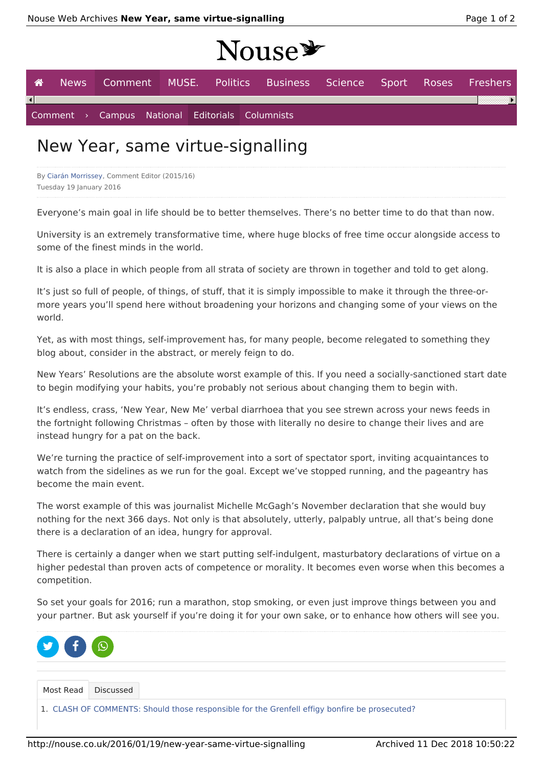# Nouse \*

| <b>A</b> |  |                                                 |  |  | News Comment MUSE. Politics Business Science Sport Roses Freshers |  |  |
|----------|--|-------------------------------------------------|--|--|-------------------------------------------------------------------|--|--|
|          |  |                                                 |  |  |                                                                   |  |  |
|          |  | Comment > Campus National Editorials Columnists |  |  |                                                                   |  |  |

## New Year, same virtue-signalling

By Ciarán Morrissey, Comment Editor (2015/16) Tuesday 19 January 2016

Everyone's main goal in life should be to better themselves. There's no better time to do that than now.

University is an extremely transformative time, where huge blocks of free time occur alongside access to some of the finest minds in the world.

It is also a place in which people from all strata of society are thrown in together and told to get along.

It's just so full of people, of things, of stuff, that it is simply impossible to make it through the three-ormore years you'll spend here without broadening your horizons and changing some of your views on the world.

Yet, as with most things, self-improvement has, for many people, become relegated to something they blog about, consider in the abstract, or merely feign to do.

New Years' Resolutions are the absolute worst example of this. If you need a socially-sanctioned start date to begin modifying your habits, you're probably not serious about changing them to begin with.

It's endless, crass, 'New Year, New Me' verbal diarrhoea that you see strewn across your news feeds in the fortnight following Christmas – often by those with literally no desire to change their lives and are instead hungry for a pat on the back.

We're turning the practice of self-improvement into a sort of spectator sport, inviting acquaintances to watch from the sidelines as we run for the goal. Except we've stopped running, and the pageantry has become the main event.

The worst example of this was journalist Michelle McGagh's November declaration that she would buy nothing for the next 366 days. Not only is that absolutely, utterly, palpably untrue, all that's being done there is a declaration of an idea, hungry for approval.

There is certainly a danger when we start putting self-indulgent, masturbatory declarations of virtue on a higher pedestal than proven acts of competence or morality. It becomes even worse when this becomes a competition.

So set your goals for 2016; run a marathon, stop smoking, or even just improve things between you and your partner. But ask yourself if you're doing it for your own sake, or to enhance how others will see you.



1. CLASH OF COMMENTS: Should those responsible for the Grenfell effigy bonfire be prosecuted?